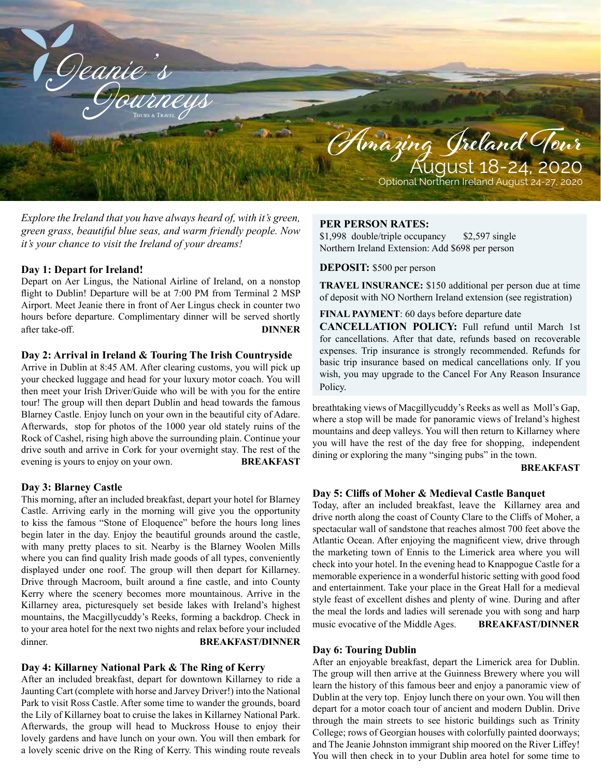

*Explore the Ireland that you have always heard of, with it's green, green grass, beautiful blue seas, and warm friendly people. Now it's your chance to visit the Ireland of your dreams!*

# **Day 1: Depart for Ireland!**

Depart on Aer Lingus, the National Airline of Ireland, on a nonstop flight to Dublin! Departure will be at 7:00 PM from Terminal 2 MSP Airport. Meet Jeanie there in front of Aer Lingus check in counter two hours before departure. Complimentary dinner will be served shortly after take-off. **DINNER** 

# **Day 2: Arrival in Ireland & Touring The Irish Countryside**

Arrive in Dublin at 8:45 AM. After clearing customs, you will pick up your checked luggage and head for your luxury motor coach. You will then meet your Irish Driver/Guide who will be with you for the entire tour! The group will then depart Dublin and head towards the famous Blarney Castle. Enjoy lunch on your own in the beautiful city of Adare. Afterwards, stop for photos of the 1000 year old stately ruins of the Rock of Cashel, rising high above the surrounding plain. Continue your drive south and arrive in Cork for your overnight stay. The rest of the evening is yours to enjoy on your own. **BREAKFAST** 

#### **Day 3: Blarney Castle**

This morning, after an included breakfast, depart your hotel for Blarney Castle. Arriving early in the morning will give you the opportunity to kiss the famous "Stone of Eloquence" before the hours long lines begin later in the day. Enjoy the beautiful grounds around the castle, with many pretty places to sit. Nearby is the Blarney Woolen Mills where you can find quality Irish made goods of all types, conveniently displayed under one roof. The group will then depart for Killarney. Drive through Macroom, built around a fine castle, and into County Kerry where the scenery becomes more mountainous. Arrive in the Killarney area, picturesquely set beside lakes with Ireland's highest mountains, the Macgillycuddy's Reeks, forming a backdrop. Check in to your area hotel for the next two nights and relax before your included dinner. **BREAKFAST/DINNER**

#### **Day 4: Killarney National Park & The Ring of Kerry**

After an included breakfast, depart for downtown Killarney to ride a Jaunting Cart (complete with horse and Jarvey Driver!) into the National Park to visit Ross Castle. After some time to wander the grounds, board the Lily of Killarney boat to cruise the lakes in Killarney National Park. Afterwards, the group will head to Muckross House to enjoy their lovely gardens and have lunch on your own. You will then embark for a lovely scenic drive on the Ring of Kerry. This winding route reveals

#### **PER PERSON RATES:**

\$1,998 double/triple occupancy \$2,597 single Northern Ireland Extension: Add \$698 per person

#### **DEPOSIT:** \$500 per person

**TRAVEL INSURANCE:** \$150 additional per person due at time of deposit with NO Northern Ireland extension (see registration)

**FINAL PAYMENT**: 60 days before departure date

**CANCELLATION POLICY:** Full refund until March 1st for cancellations. After that date, refunds based on recoverable expenses. Trip insurance is strongly recommended. Refunds for basic trip insurance based on medical cancellations only. If you wish, you may upgrade to the Cancel For Any Reason Insurance Policy.

breathtaking views of Macgillycuddy's Reeks as well as Moll's Gap, where a stop will be made for panoramic views of Ireland's highest mountains and deep valleys. You will then return to Killarney where you will have the rest of the day free for shopping, independent dining or exploring the many "singing pubs" in the town.

#### **BREAKFAST**

#### **Day 5: Cliffs of Moher & Medieval Castle Banquet**

Today, after an included breakfast, leave the Killarney area and drive north along the coast of County Clare to the Cliffs of Moher, a spectacular wall of sandstone that reaches almost 700 feet above the Atlantic Ocean. After enjoying the magnificent view, drive through the marketing town of Ennis to the Limerick area where you will check into your hotel. In the evening head to Knappogue Castle for a memorable experience in a wonderful historic setting with good food and entertainment. Take your place in the Great Hall for a medieval style feast of excellent dishes and plenty of wine. During and after the meal the lords and ladies will serenade you with song and harp music evocative of the Middle Ages. **BREAKFAST/DINNER**

#### **Day 6: Touring Dublin**

After an enjoyable breakfast, depart the Limerick area for Dublin. The group will then arrive at the Guinness Brewery where you will learn the history of this famous beer and enjoy a panoramic view of Dublin at the very top. Enjoy lunch there on your own. You will then depart for a motor coach tour of ancient and modern Dublin. Drive through the main streets to see historic buildings such as Trinity College; rows of Georgian houses with colorfully painted doorways; and The Jeanie Johnston immigrant ship moored on the River Liffey! You will then check in to your Dublin area hotel for some time to